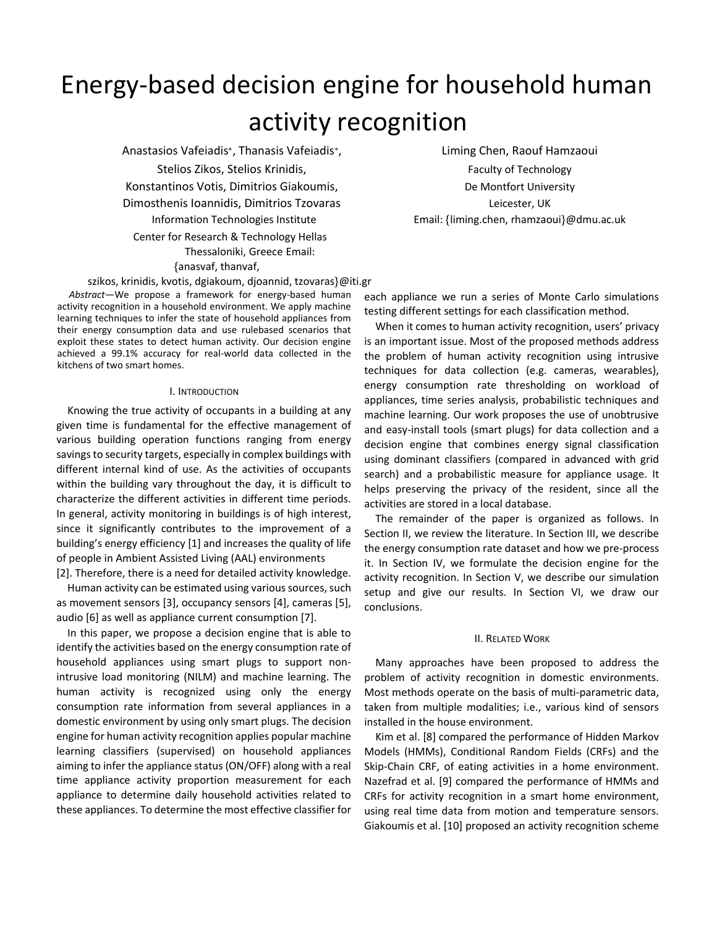# Energy-based decision engine for household human activity recognition

Anastasios Vafeiadis∗, Thanasis Vafeiadis∗, Liming Chen, Raouf Hamzaoui Stelios Zikos, Stelios Krinidis, Faculty of Technology Konstantinos Votis, Dimitrios Giakoumis, The Montfort University Dimosthenis Ioannidis, Dimitrios Tzovaras Leicester, UK Information Technologies Institute Email: {liming.chen, rhamzaoui}@dmu.ac.uk Center for Research & Technology Hellas Thessaloniki, Greece Email: {anasvaf, thanvaf,

szikos, krinidis, kvotis, dgiakoum, djoannid, tzovaras}@iti.gr

*Abstract*—We propose a framework for energy-based human activity recognition in a household environment. We apply machine learning techniques to infer the state of household appliances from their energy consumption data and use rulebased scenarios that exploit these states to detect human activity. Our decision engine achieved a 99.1% accuracy for real-world data collected in the kitchens of two smart homes.

#### I. INTRODUCTION

Knowing the true activity of occupants in a building at any given time is fundamental for the effective management of various building operation functions ranging from energy savings to security targets, especially in complex buildings with different internal kind of use. As the activities of occupants within the building vary throughout the day, it is difficult to characterize the different activities in different time periods. In general, activity monitoring in buildings is of high interest, since it significantly contributes to the improvement of a building's energy efficiency [1] and increases the quality of life of people in Ambient Assisted Living (AAL) environments

[2]. Therefore, there is a need for detailed activity knowledge. Human activity can be estimated using various sources, such as movement sensors [3], occupancy sensors [4], cameras [5], audio [6] as well as appliance current consumption [7].

In this paper, we propose a decision engine that is able to identify the activities based on the energy consumption rate of household appliances using smart plugs to support nonintrusive load monitoring (NILM) and machine learning. The human activity is recognized using only the energy consumption rate information from several appliances in a domestic environment by using only smart plugs. The decision engine for human activity recognition applies popular machine learning classifiers (supervised) on household appliances aiming to infer the appliance status (ON/OFF) along with a real time appliance activity proportion measurement for each appliance to determine daily household activities related to these appliances. To determine the most effective classifier for

each appliance we run a series of Monte Carlo simulations testing different settings for each classification method.

When it comes to human activity recognition, users' privacy is an important issue. Most of the proposed methods address the problem of human activity recognition using intrusive techniques for data collection (e.g. cameras, wearables), energy consumption rate thresholding on workload of appliances, time series analysis, probabilistic techniques and machine learning. Our work proposes the use of unobtrusive and easy-install tools (smart plugs) for data collection and a decision engine that combines energy signal classification using dominant classifiers (compared in advanced with grid search) and a probabilistic measure for appliance usage. It helps preserving the privacy of the resident, since all the activities are stored in a local database.

The remainder of the paper is organized as follows. In Section II, we review the literature. In Section III, we describe the energy consumption rate dataset and how we pre-process it. In Section IV, we formulate the decision engine for the activity recognition. In Section V, we describe our simulation setup and give our results. In Section VI, we draw our conclusions.

#### II. RELATED WORK

Many approaches have been proposed to address the problem of activity recognition in domestic environments. Most methods operate on the basis of multi-parametric data, taken from multiple modalities; i.e., various kind of sensors installed in the house environment.

Kim et al. [8] compared the performance of Hidden Markov Models (HMMs), Conditional Random Fields (CRFs) and the Skip-Chain CRF, of eating activities in a home environment. Nazefrad et al. [9] compared the performance of HMMs and CRFs for activity recognition in a smart home environment, using real time data from motion and temperature sensors. Giakoumis et al. [10] proposed an activity recognition scheme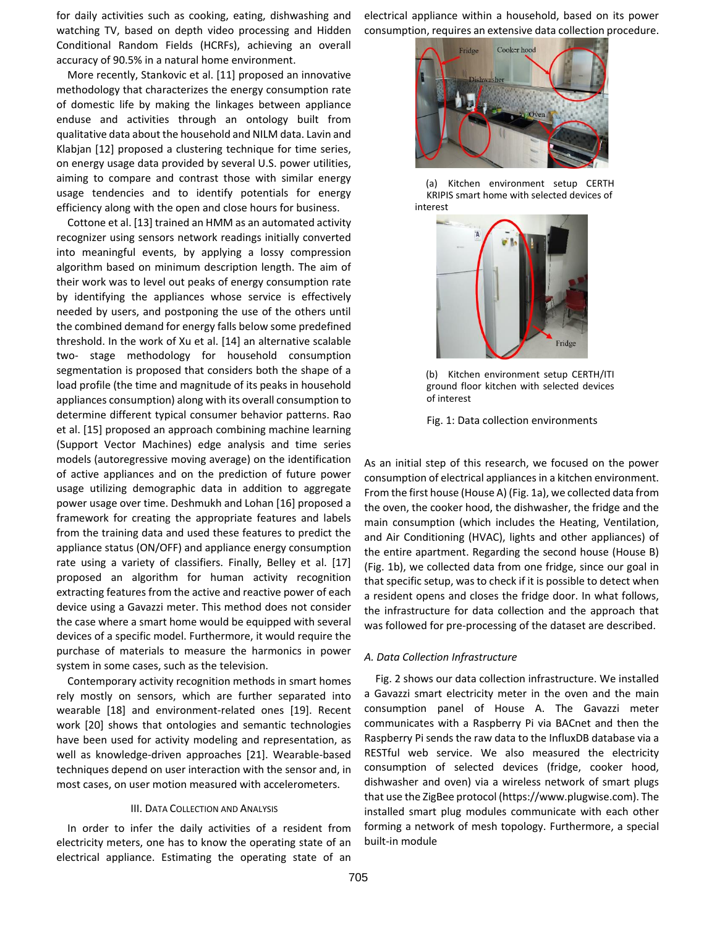for daily activities such as cooking, eating, dishwashing and watching TV, based on depth video processing and Hidden Conditional Random Fields (HCRFs), achieving an overall accuracy of 90.5% in a natural home environment.

More recently, Stankovic et al. [11] proposed an innovative methodology that characterizes the energy consumption rate of domestic life by making the linkages between appliance enduse and activities through an ontology built from qualitative data about the household and NILM data. Lavin and Klabjan [12] proposed a clustering technique for time series, on energy usage data provided by several U.S. power utilities, aiming to compare and contrast those with similar energy usage tendencies and to identify potentials for energy efficiency along with the open and close hours for business.

Cottone et al. [13] trained an HMM as an automated activity recognizer using sensors network readings initially converted into meaningful events, by applying a lossy compression algorithm based on minimum description length. The aim of their work was to level out peaks of energy consumption rate by identifying the appliances whose service is effectively needed by users, and postponing the use of the others until the combined demand for energy falls below some predefined threshold. In the work of Xu et al. [14] an alternative scalable two- stage methodology for household consumption segmentation is proposed that considers both the shape of a load profile (the time and magnitude of its peaks in household appliances consumption) along with its overall consumption to determine different typical consumer behavior patterns. Rao et al. [15] proposed an approach combining machine learning (Support Vector Machines) edge analysis and time series models (autoregressive moving average) on the identification of active appliances and on the prediction of future power usage utilizing demographic data in addition to aggregate power usage over time. Deshmukh and Lohan [16] proposed a framework for creating the appropriate features and labels from the training data and used these features to predict the appliance status (ON/OFF) and appliance energy consumption rate using a variety of classifiers. Finally, Belley et al. [17] proposed an algorithm for human activity recognition extracting features from the active and reactive power of each device using a Gavazzi meter. This method does not consider the case where a smart home would be equipped with several devices of a specific model. Furthermore, it would require the purchase of materials to measure the harmonics in power system in some cases, such as the television.

Contemporary activity recognition methods in smart homes rely mostly on sensors, which are further separated into wearable [18] and environment-related ones [19]. Recent work [20] shows that ontologies and semantic technologies have been used for activity modeling and representation, as well as knowledge-driven approaches [21]. Wearable-based techniques depend on user interaction with the sensor and, in most cases, on user motion measured with accelerometers.

## III. DATA COLLECTION AND ANALYSIS

In order to infer the daily activities of a resident from electricity meters, one has to know the operating state of an electrical appliance. Estimating the operating state of an electrical appliance within a household, based on its power consumption, requires an extensive data collection procedure.



(a) Kitchen environment setup CERTH KRIPIS smart home with selected devices of interest



(b) Kitchen environment setup CERTH/ITI ground floor kitchen with selected devices of interest

Fig. 1: Data collection environments

As an initial step of this research, we focused on the power consumption of electrical appliances in a kitchen environment. From the first house (House A) (Fig. 1a), we collected data from the oven, the cooker hood, the dishwasher, the fridge and the main consumption (which includes the Heating, Ventilation, and Air Conditioning (HVAC), lights and other appliances) of the entire apartment. Regarding the second house (House B) (Fig. 1b), we collected data from one fridge, since our goal in that specific setup, was to check if it is possible to detect when a resident opens and closes the fridge door. In what follows, the infrastructure for data collection and the approach that was followed for pre-processing of the dataset are described.

## *A. Data Collection Infrastructure*

Fig. 2 shows our data collection infrastructure. We installed a Gavazzi smart electricity meter in the oven and the main consumption panel of House A. The Gavazzi meter communicates with a Raspberry Pi via BACnet and then the Raspberry Pi sends the raw data to the InfluxDB database via a RESTful web service. We also measured the electricity consumption of selected devices (fridge, cooker hood, dishwasher and oven) via a wireless network of smart plugs that use the ZigBee protocol (https://www.plugwise.com). The installed smart plug modules communicate with each other forming a network of mesh topology. Furthermore, a special built-in module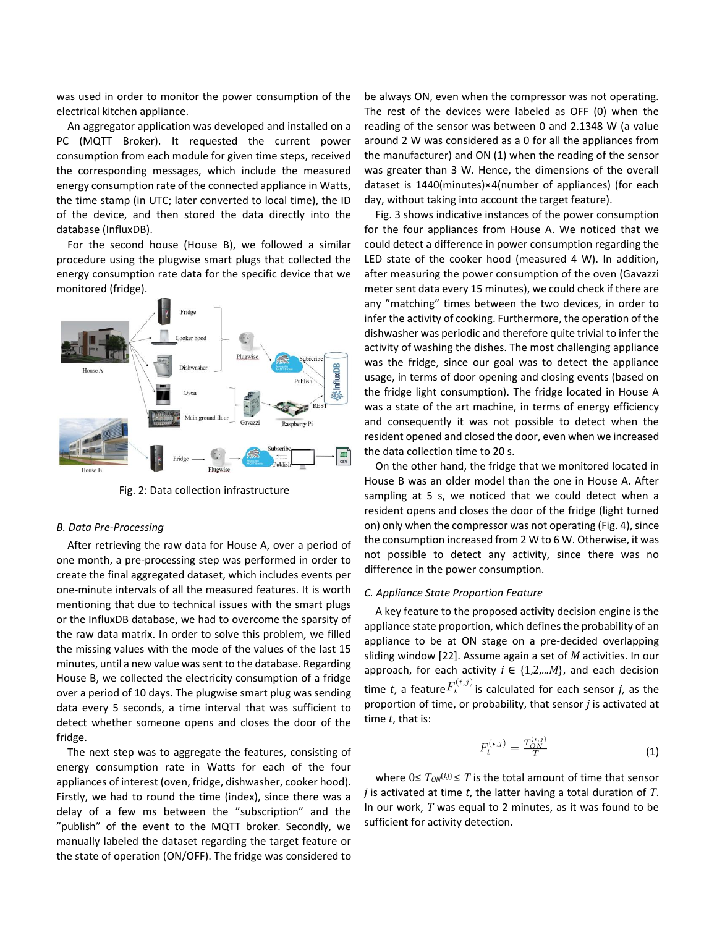was used in order to monitor the power consumption of the electrical kitchen appliance.

An aggregator application was developed and installed on a PC (MQTT Broker). It requested the current power consumption from each module for given time steps, received the corresponding messages, which include the measured energy consumption rate of the connected appliance in Watts, the time stamp (in UTC; later converted to local time), the ID of the device, and then stored the data directly into the database (InfluxDB).

For the second house (House B), we followed a similar procedure using the plugwise smart plugs that collected the energy consumption rate data for the specific device that we monitored (fridge).



Fig. 2: Data collection infrastructure

## *B. Data Pre-Processing*

After retrieving the raw data for House A, over a period of one month, a pre-processing step was performed in order to create the final aggregated dataset, which includes events per one-minute intervals of all the measured features. It is worth mentioning that due to technical issues with the smart plugs or the InfluxDB database, we had to overcome the sparsity of the raw data matrix. In order to solve this problem, we filled the missing values with the mode of the values of the last 15 minutes, until a new value was sent to the database. Regarding House B, we collected the electricity consumption of a fridge over a period of 10 days. The plugwise smart plug was sending data every 5 seconds, a time interval that was sufficient to detect whether someone opens and closes the door of the fridge.

The next step was to aggregate the features, consisting of energy consumption rate in Watts for each of the four appliances of interest (oven, fridge, dishwasher, cooker hood). Firstly, we had to round the time (index), since there was a delay of a few ms between the "subscription" and the "publish" of the event to the MQTT broker. Secondly, we manually labeled the dataset regarding the target feature or the state of operation (ON/OFF). The fridge was considered to be always ON, even when the compressor was not operating. The rest of the devices were labeled as OFF (0) when the reading of the sensor was between 0 and 2.1348 W (a value around 2 W was considered as a 0 for all the appliances from the manufacturer) and ON (1) when the reading of the sensor was greater than 3 W. Hence, the dimensions of the overall dataset is 1440(minutes)×4(number of appliances) (for each day, without taking into account the target feature).

Fig. 3 shows indicative instances of the power consumption for the four appliances from House A. We noticed that we could detect a difference in power consumption regarding the LED state of the cooker hood (measured 4 W). In addition, after measuring the power consumption of the oven (Gavazzi meter sent data every 15 minutes), we could check if there are any "matching" times between the two devices, in order to infer the activity of cooking. Furthermore, the operation of the dishwasher was periodic and therefore quite trivial to infer the activity of washing the dishes. The most challenging appliance was the fridge, since our goal was to detect the appliance usage, in terms of door opening and closing events (based on the fridge light consumption). The fridge located in House A was a state of the art machine, in terms of energy efficiency and consequently it was not possible to detect when the resident opened and closed the door, even when we increased the data collection time to 20 s.

On the other hand, the fridge that we monitored located in House B was an older model than the one in House A. After sampling at 5 s, we noticed that we could detect when a resident opens and closes the door of the fridge (light turned on) only when the compressor was not operating (Fig. 4), since the consumption increased from 2 W to 6 W. Otherwise, it was not possible to detect any activity, since there was no difference in the power consumption.

# *C. Appliance State Proportion Feature*

A key feature to the proposed activity decision engine is the appliance state proportion, which defines the probability of an appliance to be at ON stage on a pre-decided overlapping sliding window [22]. Assume again a set of *M* activities. In our approach, for each activity  $i \in \{1,2,...M\}$ , and each decision time *t*, a feature  $F_t^{(i,j)}$  is calculated for each sensor *j*, as the proportion of time, or probability, that sensor *j* is activated at time *t*, that is:

$$
F_t^{(i,j)} = \frac{T_{ON}^{(i,j)}}{T}
$$
 (1)

where  $0 ≤ T<sub>ON</sub>(*i,j*) ≤ T$  is the total amount of time that sensor *j* is activated at time *t*, the latter having a total duration of *T*. In our work, *T* was equal to 2 minutes, as it was found to be sufficient for activity detection.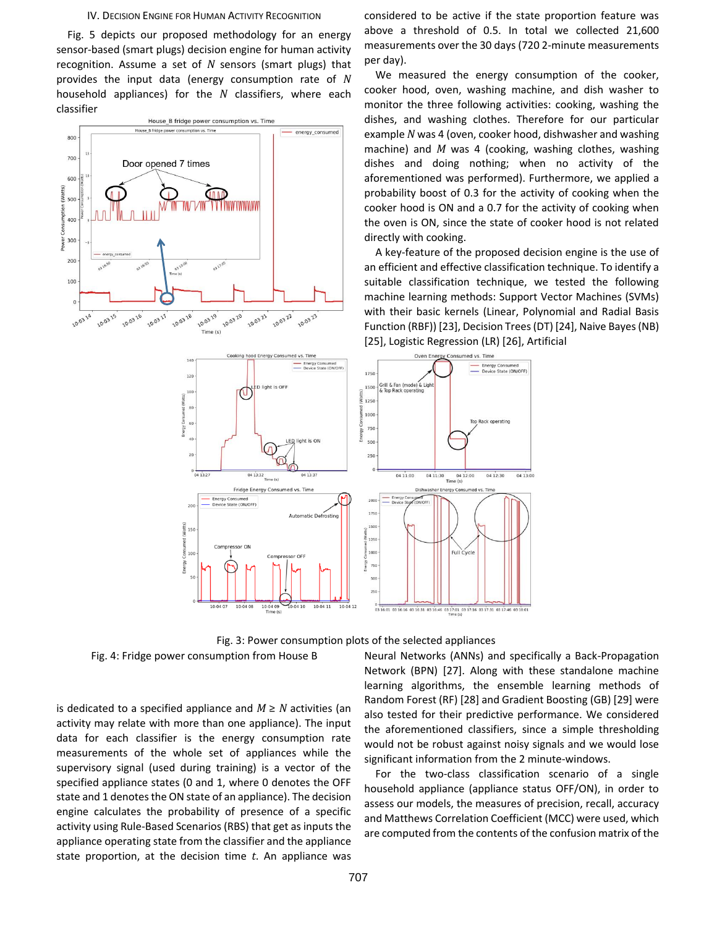#### IV. DECISION ENGINE FOR HUMAN ACTIVITY RECOGNITION

Fig. 5 depicts our proposed methodology for an energy sensor-based (smart plugs) decision engine for human activity recognition. Assume a set of *N* sensors (smart plugs) that provides the input data (energy consumption rate of *N*  household appliances) for the *N* classifiers, where each classifier



considered to be active if the state proportion feature was above a threshold of 0.5. In total we collected 21,600 measurements over the 30 days (720 2-minute measurements per day).

We measured the energy consumption of the cooker, cooker hood, oven, washing machine, and dish washer to monitor the three following activities: cooking, washing the dishes, and washing clothes. Therefore for our particular example *N* was 4 (oven, cooker hood, dishwasher and washing machine) and *M* was 4 (cooking, washing clothes, washing dishes and doing nothing; when no activity of the aforementioned was performed). Furthermore, we applied a probability boost of 0.3 for the activity of cooking when the cooker hood is ON and a 0.7 for the activity of cooking when the oven is ON, since the state of cooker hood is not related directly with cooking.

A key-feature of the proposed decision engine is the use of an efficient and effective classification technique. To identify a suitable classification technique, we tested the following machine learning methods: Support Vector Machines (SVMs) with their basic kernels (Linear, Polynomial and Radial Basis Function (RBF)) [23], Decision Trees (DT) [24], Naive Bayes (NB) [25], Logistic Regression (LR) [26], Artificial



Fig. 3: Power consumption plots of the selected appliances

Fig. 4: Fridge power consumption from House B

150

 $10($ nergy

is dedicated to a specified appliance and  $M \geq N$  activities (an activity may relate with more than one appliance). The input data for each classifier is the energy consumption rate measurements of the whole set of appliances while the supervisory signal (used during training) is a vector of the specified appliance states (0 and 1, where 0 denotes the OFF state and 1 denotes the ON state of an appliance). The decision engine calculates the probability of presence of a specific activity using Rule-Based Scenarios (RBS) that get as inputs the appliance operating state from the classifier and the appliance state proportion, at the decision time *t*. An appliance was

Neural Networks (ANNs) and specifically a Back-Propagation Network (BPN) [27]. Along with these standalone machine learning algorithms, the ensemble learning methods of Random Forest (RF) [28] and Gradient Boosting (GB) [29] were also tested for their predictive performance. We considered the aforementioned classifiers, since a simple thresholding would not be robust against noisy signals and we would lose significant information from the 2 minute-windows.

For the two-class classification scenario of a single household appliance (appliance status OFF/ON), in order to assess our models, the measures of precision, recall, accuracy and Matthews Correlation Coefficient (MCC) were used, which are computed from the contents of the confusion matrix of the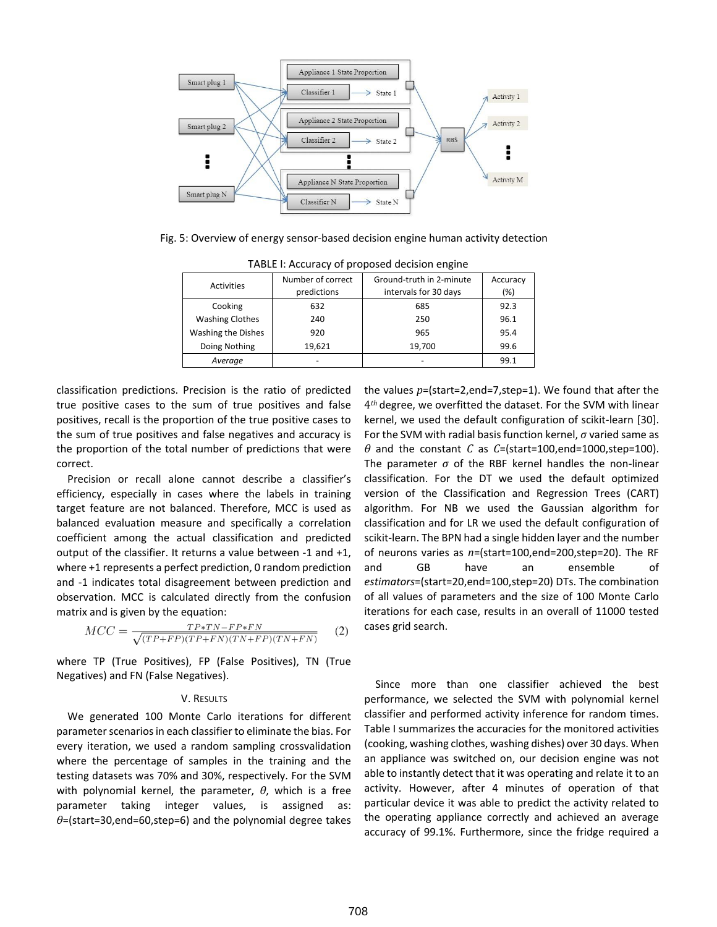

Fig. 5: Overview of energy sensor-based decision engine human activity detection

| Activities             | Number of correct | Ground-truth in 2-minute | Accuracy |
|------------------------|-------------------|--------------------------|----------|
|                        | predictions       | intervals for 30 days    | $(\%)$   |
| Cooking                | 632               | 685                      | 92.3     |
| <b>Washing Clothes</b> | 240               | 250                      | 96.1     |
| Washing the Dishes     | 920               | 965                      | 95.4     |
| Doing Nothing          | 19,621            | 19,700                   | 99.6     |
| Average                |                   |                          | 99.1     |

TABLE I: Accuracy of proposed decision engine

classification predictions. Precision is the ratio of predicted true positive cases to the sum of true positives and false positives, recall is the proportion of the true positive cases to the sum of true positives and false negatives and accuracy is the proportion of the total number of predictions that were correct.

Precision or recall alone cannot describe a classifier's efficiency, especially in cases where the labels in training target feature are not balanced. Therefore, MCC is used as balanced evaluation measure and specifically a correlation coefficient among the actual classification and predicted output of the classifier. It returns a value between -1 and +1, where +1 represents a perfect prediction, 0 random prediction and -1 indicates total disagreement between prediction and observation. MCC is calculated directly from the confusion matrix and is given by the equation:

$$
MCC = \frac{TP * TN - FP * FN}{\sqrt{(TP + FP)(TP + FN)(TN + FP)(TN + FN)}}
$$
 (2)

where TP (True Positives), FP (False Positives), TN (True Negatives) and FN (False Negatives).

# V. RESULTS

We generated 100 Monte Carlo iterations for different parameter scenarios in each classifier to eliminate the bias. For every iteration, we used a random sampling crossvalidation where the percentage of samples in the training and the testing datasets was 70% and 30%, respectively. For the SVM with polynomial kernel, the parameter, *θ*, which is a free parameter taking integer values, is assigned as: *θ*=(start=30,end=60,step=6) and the polynomial degree takes

the values *p*=(start=2,end=7,step=1). We found that after the 4*th* degree, we overfitted the dataset. For the SVM with linear kernel, we used the default configuration of scikit-learn [30]. For the SVM with radial basis function kernel, *σ* varied same as *θ* and the constant *C* as *C*=(start=100,end=1000,step=100). The parameter *σ* of the RBF kernel handles the non-linear classification. For the DT we used the default optimized version of the Classification and Regression Trees (CART) algorithm. For NB we used the Gaussian algorithm for classification and for LR we used the default configuration of scikit-learn. The BPN had a single hidden layer and the number of neurons varies as *n*=(start=100,end=200,step=20). The RF and GB have an ensemble of *estimators*=(start=20,end=100,step=20) DTs. The combination of all values of parameters and the size of 100 Monte Carlo iterations for each case, results in an overall of 11000 tested cases grid search.

Since more than one classifier achieved the best performance, we selected the SVM with polynomial kernel classifier and performed activity inference for random times. Table I summarizes the accuracies for the monitored activities (cooking, washing clothes, washing dishes) over 30 days. When an appliance was switched on, our decision engine was not able to instantly detect that it was operating and relate it to an activity. However, after 4 minutes of operation of that particular device it was able to predict the activity related to the operating appliance correctly and achieved an average accuracy of 99.1%. Furthermore, since the fridge required a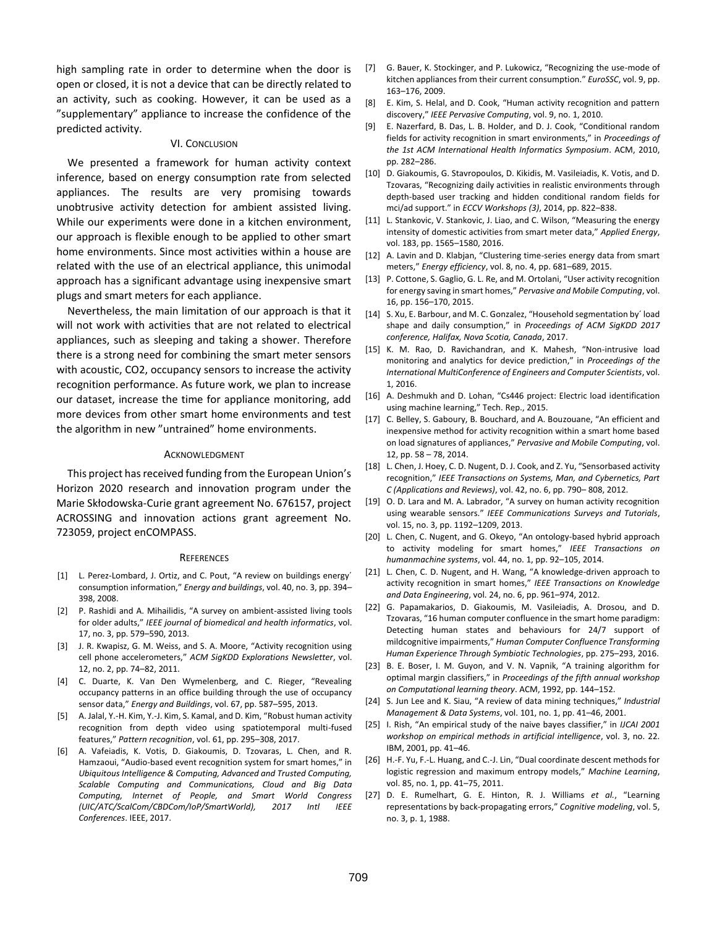high sampling rate in order to determine when the door is open or closed, it is not a device that can be directly related to an activity, such as cooking. However, it can be used as a "supplementary" appliance to increase the confidence of the predicted activity.

## VI. CONCLUSION

We presented a framework for human activity context inference, based on energy consumption rate from selected appliances. The results are very promising towards unobtrusive activity detection for ambient assisted living. While our experiments were done in a kitchen environment, our approach is flexible enough to be applied to other smart home environments. Since most activities within a house are related with the use of an electrical appliance, this unimodal approach has a significant advantage using inexpensive smart plugs and smart meters for each appliance.

Nevertheless, the main limitation of our approach is that it will not work with activities that are not related to electrical appliances, such as sleeping and taking a shower. Therefore there is a strong need for combining the smart meter sensors with acoustic, CO2, occupancy sensors to increase the activity recognition performance. As future work, we plan to increase our dataset, increase the time for appliance monitoring, add more devices from other smart home environments and test the algorithm in new "untrained" home environments.

# ACKNOWLEDGMENT

This project has received funding from the European Union's Horizon 2020 research and innovation program under the Marie Skłodowska-Curie grant agreement No. 676157, project ACROSSING and innovation actions grant agreement No. 723059, project enCOMPASS.

#### **REFERENCES**

- [1] L. Perez-Lombard, J. Ortiz, and C. Pout, "A review on buildings energy" consumption information," *Energy and buildings*, vol. 40, no. 3, pp. 394– 398, 2008.
- [2] P. Rashidi and A. Mihailidis, "A survey on ambient-assisted living tools for older adults," *IEEE journal of biomedical and health informatics*, vol. 17, no. 3, pp. 579–590, 2013.
- [3] J. R. Kwapisz, G. M. Weiss, and S. A. Moore, "Activity recognition using cell phone accelerometers," *ACM SigKDD Explorations Newsletter*, vol. 12, no. 2, pp. 74–82, 2011.
- [4] C. Duarte, K. Van Den Wymelenberg, and C. Rieger, "Revealing occupancy patterns in an office building through the use of occupancy sensor data," *Energy and Buildings*, vol. 67, pp. 587–595, 2013.
- [5] A. Jalal, Y.-H. Kim, Y.-J. Kim, S. Kamal, and D. Kim, "Robust human activity recognition from depth video using spatiotemporal multi-fused features," *Pattern recognition*, vol. 61, pp. 295–308, 2017.
- [6] A. Vafeiadis, K. Votis, D. Giakoumis, D. Tzovaras, L. Chen, and R. Hamzaoui, "Audio-based event recognition system for smart homes," in *Ubiquitous Intelligence & Computing, Advanced and Trusted Computing, Scalable Computing and Communications, Cloud and Big Data Computing, Internet of People, and Smart World Congress (UIC/ATC/ScalCom/CBDCom/IoP/SmartWorld), 2017 Intl IEEE Conferences*. IEEE, 2017.
- [7] G. Bauer, K. Stockinger, and P. Lukowicz, "Recognizing the use-mode of kitchen appliances from their current consumption." *EuroSSC*, vol. 9, pp. 163–176, 2009.
- [8] E. Kim, S. Helal, and D. Cook, "Human activity recognition and pattern discovery," *IEEE Pervasive Computing*, vol. 9, no. 1, 2010.
- [9] E. Nazerfard, B. Das, L. B. Holder, and D. J. Cook, "Conditional random fields for activity recognition in smart environments," in *Proceedings of the 1st ACM International Health Informatics Symposium*. ACM, 2010, pp. 282–286.
- [10] D. Giakoumis, G. Stavropoulos, D. Kikidis, M. Vasileiadis, K. Votis, and D. Tzovaras, "Recognizing daily activities in realistic environments through depth-based user tracking and hidden conditional random fields for mci/ad support." in *ECCV Workshops (3)*, 2014, pp. 822–838.
- [11] L. Stankovic, V. Stankovic, J. Liao, and C. Wilson, "Measuring the energy intensity of domestic activities from smart meter data," *Applied Energy*, vol. 183, pp. 1565–1580, 2016.
- [12] A. Lavin and D. Klabjan, "Clustering time-series energy data from smart meters," *Energy efficiency*, vol. 8, no. 4, pp. 681–689, 2015.
- [13] P. Cottone, S. Gaglio, G. L. Re, and M. Ortolani, "User activity recognition for energy saving in smart homes," *Pervasive and Mobile Computing*, vol. 16, pp. 156–170, 2015.
- [14] S. Xu, E. Barbour, and M. C. Gonzalez, "Household segmentation by´ load shape and daily consumption," in *Proceedings of ACM SigKDD 2017 conference, Halifax, Nova Scotia, Canada*, 2017.
- [15] K. M. Rao, D. Ravichandran, and K. Mahesh, "Non-intrusive load monitoring and analytics for device prediction," in *Proceedings of the International MultiConference of Engineers and Computer Scientists*, vol. 1, 2016.
- [16] A. Deshmukh and D. Lohan, "Cs446 project: Electric load identification using machine learning," Tech. Rep., 2015.
- [17] C. Belley, S. Gaboury, B. Bouchard, and A. Bouzouane, "An efficient and inexpensive method for activity recognition within a smart home based on load signatures of appliances," *Pervasive and Mobile Computing*, vol. 12, pp. 58 – 78, 2014.
- [18] L. Chen, J. Hoey, C. D. Nugent, D. J. Cook, and Z. Yu, "Sensorbased activity recognition," *IEEE Transactions on Systems, Man, and Cybernetics, Part C (Applications and Reviews)*, vol. 42, no. 6, pp. 790– 808, 2012.
- [19] O. D. Lara and M. A. Labrador, "A survey on human activity recognition using wearable sensors." *IEEE Communications Surveys and Tutorials*, vol. 15, no. 3, pp. 1192–1209, 2013.
- [20] L. Chen, C. Nugent, and G. Okeyo, "An ontology-based hybrid approach to activity modeling for smart homes," *IEEE Transactions on humanmachine systems*, vol. 44, no. 1, pp. 92–105, 2014.
- [21] L. Chen, C. D. Nugent, and H. Wang, "A knowledge-driven approach to activity recognition in smart homes," *IEEE Transactions on Knowledge and Data Engineering*, vol. 24, no. 6, pp. 961–974, 2012.
- [22] G. Papamakarios, D. Giakoumis, M. Vasileiadis, A. Drosou, and D. Tzovaras, "16 human computer confluence in the smart home paradigm: Detecting human states and behaviours for 24/7 support of mildcognitive impairments," *Human Computer Confluence Transforming Human Experience Through Symbiotic Technologies*, pp. 275–293, 2016.
- [23] B. E. Boser, I. M. Guyon, and V. N. Vapnik, "A training algorithm for optimal margin classifiers," in *Proceedings of the fifth annual workshop on Computational learning theory*. ACM, 1992, pp. 144–152.
- [24] S. Jun Lee and K. Siau, "A review of data mining techniques," *Industrial Management & Data Systems*, vol. 101, no. 1, pp. 41–46, 2001.
- [25] I. Rish, "An empirical study of the naive bayes classifier," in *IJCAI 2001 workshop on empirical methods in artificial intelligence*, vol. 3, no. 22. IBM, 2001, pp. 41–46.
- [26] H.-F. Yu, F.-L. Huang, and C.-J. Lin, "Dual coordinate descent methods for logistic regression and maximum entropy models," *Machine Learning*, vol. 85, no. 1, pp. 41–75, 2011.
- [27] D. E. Rumelhart, G. E. Hinton, R. J. Williams *et al.*, "Learning representations by back-propagating errors," *Cognitive modeling*, vol. 5, no. 3, p. 1, 1988.